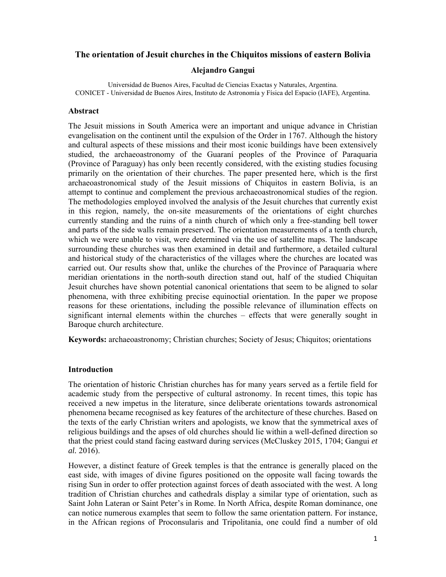## **The orientation of Jesuit churches in the Chiquitos missions of eastern Bolivia**

#### **Alejandro Gangui**

Universidad de Buenos Aires, Facultad de Ciencias Exactas y Naturales, Argentina. CONICET - Universidad de Buenos Aires, Instituto de Astronomía y Física del Espacio (IAFE), Argentina.

#### **Abstract**

The Jesuit missions in South America were an important and unique advance in Christian evangelisation on the continent until the expulsion of the Order in 1767. Although the history and cultural aspects of these missions and their most iconic buildings have been extensively studied, the archaeoastronomy of the Guaraní peoples of the Province of Paraquaria (Province of Paraguay) has only been recently considered, with the existing studies focusing primarily on the orientation of their churches. The paper presented here, which is the first archaeoastronomical study of the Jesuit missions of Chiquitos in eastern Bolivia, is an attempt to continue and complement the previous archaeoastronomical studies of the region. The methodologies employed involved the analysis of the Jesuit churches that currently exist in this region, namely, the on-site measurements of the orientations of eight churches currently standing and the ruins of a ninth church of which only a free-standing bell tower and parts of the side walls remain preserved. The orientation measurements of a tenth church, which we were unable to visit, were determined via the use of satellite maps. The landscape surrounding these churches was then examined in detail and furthermore, a detailed cultural and historical study of the characteristics of the villages where the churches are located was carried out. Our results show that, unlike the churches of the Province of Paraquaria where meridian orientations in the north-south direction stand out, half of the studied Chiquitan Jesuit churches have shown potential canonical orientations that seem to be aligned to solar phenomena, with three exhibiting precise equinoctial orientation. In the paper we propose reasons for these orientations, including the possible relevance of illumination effects on significant internal elements within the churches – effects that were generally sought in Baroque church architecture.

**Keywords:** archaeoastronomy; Christian churches; Society of Jesus; Chiquitos; orientations

#### **Introduction**

The orientation of historic Christian churches has for many years served as a fertile field for academic study from the perspective of cultural astronomy. In recent times, this topic has received a new impetus in the literature, since deliberate orientations towards astronomical phenomena became recognised as key features of the architecture of these churches. Based on the texts of the early Christian writers and apologists, we know that the symmetrical axes of religious buildings and the apses of old churches should lie within a well-defined direction so that the priest could stand facing eastward during services (McCluskey 2015, 1704; Gangui *et al.* 2016).

However, a distinct feature of Greek temples is that the entrance is generally placed on the east side, with images of divine figures positioned on the opposite wall facing towards the rising Sun in order to offer protection against forces of death associated with the west. A long tradition of Christian churches and cathedrals display a similar type of orientation, such as Saint John Lateran or Saint Peter's in Rome. In North Africa, despite Roman dominance, one can notice numerous examples that seem to follow the same orientation pattern. For instance, in the African regions of Proconsularis and Tripolitania, one could find a number of old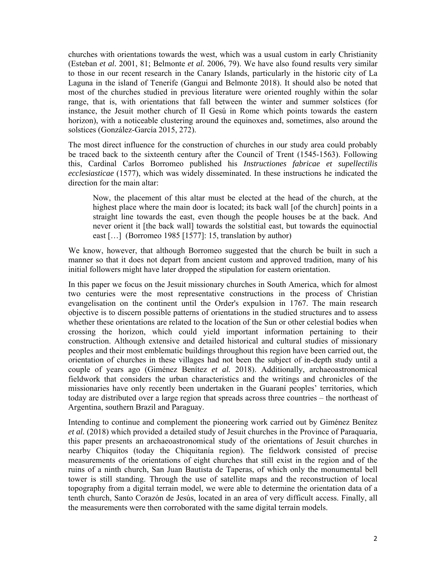churches with orientations towards the west, which was a usual custom in early Christianity (Esteban *et al.* 2001, 81; Belmonte *et al.* 2006, 79). We have also found results very similar to those in our recent research in the Canary Islands, particularly in the historic city of La Laguna in the island of Tenerife (Gangui and Belmonte 2018). It should also be noted that most of the churches studied in previous literature were oriented roughly within the solar range, that is, with orientations that fall between the winter and summer solstices (for instance, the Jesuit mother church of Il Gesú in Rome which points towards the eastern horizon), with a noticeable clustering around the equinoxes and, sometimes, also around the solstices (González-García 2015, 272).

The most direct influence for the construction of churches in our study area could probably be traced back to the sixteenth century after the Council of Trent (1545-1563). Following this, Cardinal Carlos Borromeo published his *Instructiones fabricae et supellectilis ecclesiasticae* (1577), which was widely disseminated. In these instructions he indicated the direction for the main altar:

Now, the placement of this altar must be elected at the head of the church, at the highest place where the main door is located; its back wall [of the church] points in a straight line towards the east, even though the people houses be at the back. And never orient it [the back wall] towards the solstitial east, but towards the equinoctial east […] (Borromeo 1985 [1577]: 15, translation by author)

We know, however, that although Borromeo suggested that the church be built in such a manner so that it does not depart from ancient custom and approved tradition, many of his initial followers might have later dropped the stipulation for eastern orientation.

In this paper we focus on the Jesuit missionary churches in South America, which for almost two centuries were the most representative constructions in the process of Christian evangelisation on the continent until the Order's expulsion in 1767. The main research objective is to discern possible patterns of orientations in the studied structures and to assess whether these orientations are related to the location of the Sun or other celestial bodies when crossing the horizon, which could yield important information pertaining to their construction. Although extensive and detailed historical and cultural studies of missionary peoples and their most emblematic buildings throughout this region have been carried out, the orientation of churches in these villages had not been the subject of in-depth study until a couple of years ago (Giménez Benítez *et al.* 2018). Additionally, archaeoastronomical fieldwork that considers the urban characteristics and the writings and chronicles of the missionaries have only recently been undertaken in the Guaraní peoples' territories, which today are distributed over a large region that spreads across three countries – the northeast of Argentina, southern Brazil and Paraguay.

Intending to continue and complement the pioneering work carried out by Giménez Benítez *et al.* (2018) which provided a detailed study of Jesuit churches in the Province of Paraquaria, this paper presents an archaeoastronomical study of the orientations of Jesuit churches in nearby Chiquitos (today the Chiquitanía region). The fieldwork consisted of precise measurements of the orientations of eight churches that still exist in the region and of the ruins of a ninth church, San Juan Bautista de Taperas, of which only the monumental bell tower is still standing. Through the use of satellite maps and the reconstruction of local topography from a digital terrain model, we were able to determine the orientation data of a tenth church, Santo Corazón de Jesús, located in an area of very difficult access. Finally, all the measurements were then corroborated with the same digital terrain models.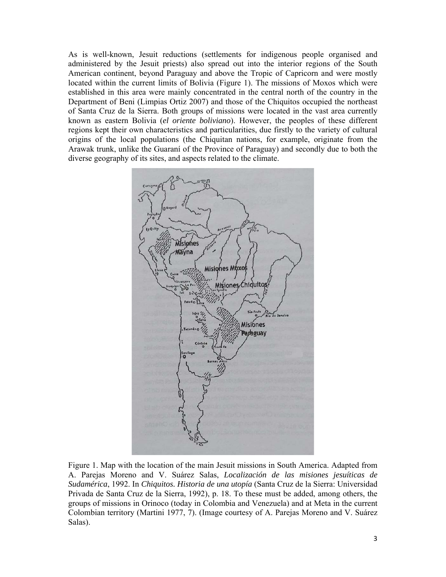As is well-known, Jesuit reductions (settlements for indigenous people organised and administered by the Jesuit priests) also spread out into the interior regions of the South American continent, beyond Paraguay and above the Tropic of Capricorn and were mostly located within the current limits of Bolivia (Figure 1). The missions of Moxos which were established in this area were mainly concentrated in the central north of the country in the Department of Beni (Limpias Ortiz 2007) and those of the Chiquitos occupied the northeast of Santa Cruz de la Sierra. Both groups of missions were located in the vast area currently known as eastern Bolivia (*el oriente boliviano*). However, the peoples of these different regions kept their own characteristics and particularities, due firstly to the variety of cultural origins of the local populations (the Chiquitan nations, for example, originate from the Arawak trunk, unlike the Guaraní of the Province of Paraguay) and secondly due to both the diverse geography of its sites, and aspects related to the climate.



Figure 1. Map with the location of the main Jesuit missions in South America. Adapted from A. Parejas Moreno and V. Suárez Salas, *Localización de las misiones jesuíticas de Sudamérica*, 1992. In *Chiquitos. Historia de una utopía* (Santa Cruz de la Sierra: Universidad Privada de Santa Cruz de la Sierra, 1992), p. 18. To these must be added, among others, the groups of missions in Orinoco (today in Colombia and Venezuela) and at Meta in the current Colombian territory (Martini 1977, 7). (Image courtesy of A. Parejas Moreno and V. Suárez Salas).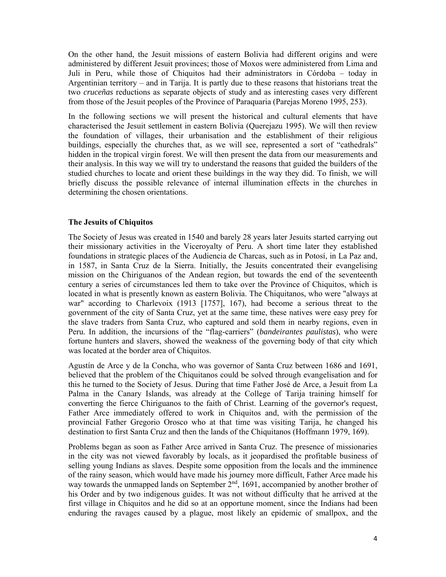On the other hand, the Jesuit missions of eastern Bolivia had different origins and were administered by different Jesuit provinces; those of Moxos were administered from Lima and Juli in Peru, while those of Chiquitos had their administrators in Córdoba – today in Argentinian territory – and in Tarija. It is partly due to these reasons that historians treat the two *cruceñas* reductions as separate objects of study and as interesting cases very different from those of the Jesuit peoples of the Province of Paraquaria (Parejas Moreno 1995, 253).

In the following sections we will present the historical and cultural elements that have characterised the Jesuit settlement in eastern Bolivia (Querejazu 1995). We will then review the foundation of villages, their urbanisation and the establishment of their religious buildings, especially the churches that, as we will see, represented a sort of "cathedrals" hidden in the tropical virgin forest. We will then present the data from our measurements and their analysis. In this way we will try to understand the reasons that guided the builders of the studied churches to locate and orient these buildings in the way they did. To finish, we will briefly discuss the possible relevance of internal illumination effects in the churches in determining the chosen orientations.

### **The Jesuits of Chiquitos**

The Society of Jesus was created in 1540 and barely 28 years later Jesuits started carrying out their missionary activities in the Viceroyalty of Peru. A short time later they established foundations in strategic places of the Audiencia de Charcas, such as in Potosí, in La Paz and, in 1587, in Santa Cruz de la Sierra. Initially, the Jesuits concentrated their evangelising mission on the Chiriguanos of the Andean region, but towards the end of the seventeenth century a series of circumstances led them to take over the Province of Chiquitos, which is located in what is presently known as eastern Bolivia. The Chiquitanos, who were "always at war" according to Charlevoix (1913 [1757], 167), had become a serious threat to the government of the city of Santa Cruz, yet at the same time, these natives were easy prey for the slave traders from Santa Cruz, who captured and sold them in nearby regions, even in Peru. In addition, the incursions of the "flag-carriers" (*bandeirantes paulistas*), who were fortune hunters and slavers, showed the weakness of the governing body of that city which was located at the border area of Chiquitos.

Agustín de Arce y de la Concha, who was governor of Santa Cruz between 1686 and 1691, believed that the problem of the Chiquitanos could be solved through evangelisation and for this he turned to the Society of Jesus. During that time Father José de Arce, a Jesuit from La Palma in the Canary Islands, was already at the College of Tarija training himself for converting the fierce Chiriguanos to the faith of Christ. Learning of the governor's request, Father Arce immediately offered to work in Chiquitos and, with the permission of the provincial Father Gregorio Orosco who at that time was visiting Tarija, he changed his destination to first Santa Cruz and then the lands of the Chiquitanos (Hoffmann 1979, 169).

Problems began as soon as Father Arce arrived in Santa Cruz. The presence of missionaries in the city was not viewed favorably by locals, as it jeopardised the profitable business of selling young Indians as slaves. Despite some opposition from the locals and the imminence of the rainy season, which would have made his journey more difficult, Father Arce made his way towards the unmapped lands on September 2<sup>nd</sup>, 1691, accompanied by another brother of his Order and by two indigenous guides. It was not without difficulty that he arrived at the first village in Chiquitos and he did so at an opportune moment, since the Indians had been enduring the ravages caused by a plague, most likely an epidemic of smallpox, and the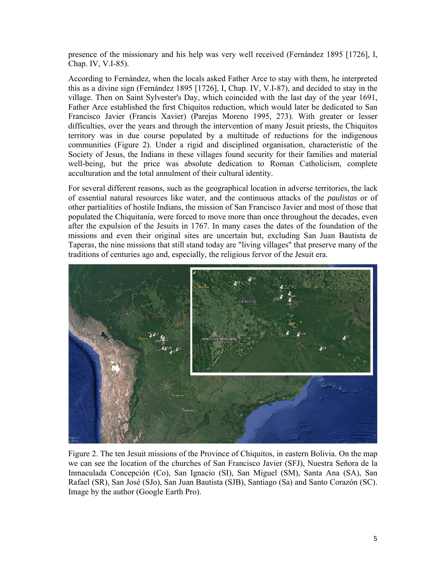presence of the missionary and his help was very well received (Fernández 1895 [1726], I, Chap. IV, V.I-85).

According to Fernández, when the locals asked Father Arce to stay with them, he interpreted this as a divine sign (Fernández 1895 [1726], I, Chap. IV, V.I-87), and decided to stay in the village. Then on Saint Sylvester's Day, which coincided with the last day of the year 1691, Father Arce established the first Chiquitos reduction, which would later be dedicated to San Francisco Javier (Francis Xavier) (Parejas Moreno 1995, 273). With greater or lesser difficulties, over the years and through the intervention of many Jesuit priests, the Chiquitos territory was in due course populated by a multitude of reductions for the indigenous communities (Figure 2). Under a rigid and disciplined organisation, characteristic of the Society of Jesus, the Indians in these villages found security for their families and material well-being, but the price was absolute dedication to Roman Catholicism, complete acculturation and the total annulment of their cultural identity.

For several different reasons, such as the geographical location in adverse territories, the lack of essential natural resources like water, and the continuous attacks of the *paulistas* or of other partialities of hostile Indians, the mission of San Francisco Javier and most of those that populated the Chiquitanía, were forced to move more than once throughout the decades, even after the expulsion of the Jesuits in 1767. In many cases the dates of the foundation of the missions and even their original sites are uncertain but, excluding San Juan Bautista de Taperas, the nine missions that still stand today are "living villages" that preserve many of the traditions of centuries ago and, especially, the religious fervor of the Jesuit era.



Figure 2. The ten Jesuit missions of the Province of Chiquitos, in eastern Bolivia. On the map we can see the location of the churches of San Francisco Javier (SFJ), Nuestra Señora de la Inmaculada Concepción (Co), San Ignacio (SI), San Miguel (SM), Santa Ana (SA), San Rafael (SR), San José (SJo), San Juan Bautista (SJB), Santiago (Sa) and Santo Corazón (SC). Image by the author (Google Earth Pro).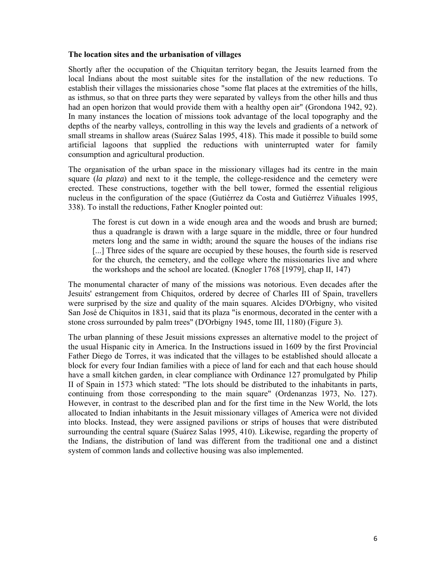## **The location sites and the urbanisation of villages**

Shortly after the occupation of the Chiquitan territory began, the Jesuits learned from the local Indians about the most suitable sites for the installation of the new reductions. To establish their villages the missionaries chose "some flat places at the extremities of the hills, as isthmus, so that on three parts they were separated by valleys from the other hills and thus had an open horizon that would provide them with a healthy open air" (Grondona 1942, 92). In many instances the location of missions took advantage of the local topography and the depths of the nearby valleys, controlling in this way the levels and gradients of a network of small streams in shallow areas (Suárez Salas 1995, 418). This made it possible to build some artificial lagoons that supplied the reductions with uninterrupted water for family consumption and agricultural production.

The organisation of the urban space in the missionary villages had its centre in the main square (*la plaza*) and next to it the temple, the college-residence and the cemetery were erected. These constructions, together with the bell tower, formed the essential religious nucleus in the configuration of the space (Gutiérrez da Costa and Gutiérrez Viñuales 1995, 338). To install the reductions, Father Knogler pointed out:

The forest is cut down in a wide enough area and the woods and brush are burned; thus a quadrangle is drawn with a large square in the middle, three or four hundred meters long and the same in width; around the square the houses of the indians rise [...] Three sides of the square are occupied by these houses, the fourth side is reserved for the church, the cemetery, and the college where the missionaries live and where the workshops and the school are located. (Knogler 1768 [1979], chap II, 147)

The monumental character of many of the missions was notorious. Even decades after the Jesuits' estrangement from Chiquitos, ordered by decree of Charles III of Spain, travellers were surprised by the size and quality of the main squares. Alcides D'Orbigny, who visited San José de Chiquitos in 1831, said that its plaza "is enormous, decorated in the center with a stone cross surrounded by palm trees" (D'Orbigny 1945, tome III, 1180) (Figure 3).

The urban planning of these Jesuit missions expresses an alternative model to the project of the usual Hispanic city in America. In the Instructions issued in 1609 by the first Provincial Father Diego de Torres, it was indicated that the villages to be established should allocate a block for every four Indian families with a piece of land for each and that each house should have a small kitchen garden, in clear compliance with Ordinance 127 promulgated by Philip II of Spain in 1573 which stated: "The lots should be distributed to the inhabitants in parts, continuing from those corresponding to the main square" (Ordenanzas 1973, No. 127). However, in contrast to the described plan and for the first time in the New World, the lots allocated to Indian inhabitants in the Jesuit missionary villages of America were not divided into blocks. Instead, they were assigned pavilions or strips of houses that were distributed surrounding the central square (Suárez Salas 1995, 410). Likewise, regarding the property of the Indians, the distribution of land was different from the traditional one and a distinct system of common lands and collective housing was also implemented.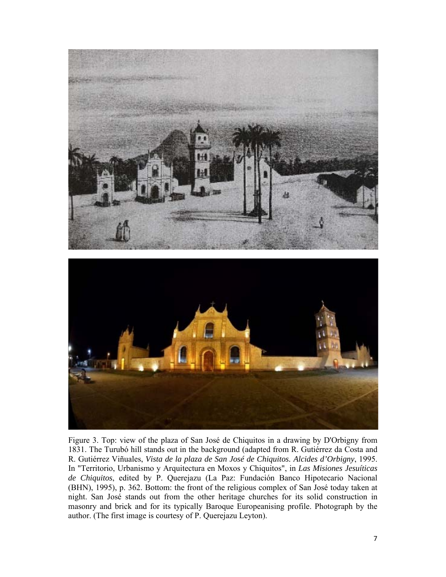

Figure 3. Top: view of the plaza of San José de Chiquitos in a drawing by D'Orbigny from 1831. The Turubó hill stands out in the background (adapted from R. Gutiérrez da Costa and R. Gutiérrez Viñuales, *Vista de la plaza de San José de Chiquitos. Alcides d'Orbigny*, 1995. In "Territorio, Urbanismo y Arquitectura en Moxos y Chiquitos", in *Las Misiones Jesuíticas de Chiquitos*, edited by P. Querejazu (La Paz: Fundación Banco Hipotecario Nacional (BHN), 1995), p. 362. Bottom: the front of the religious complex of San José today taken at night. San José stands out from the other heritage churches for its solid construction in masonry and brick and for its typically Baroque Europeanising profile. Photograph by the author. (The first image is courtesy of P. Querejazu Leyton).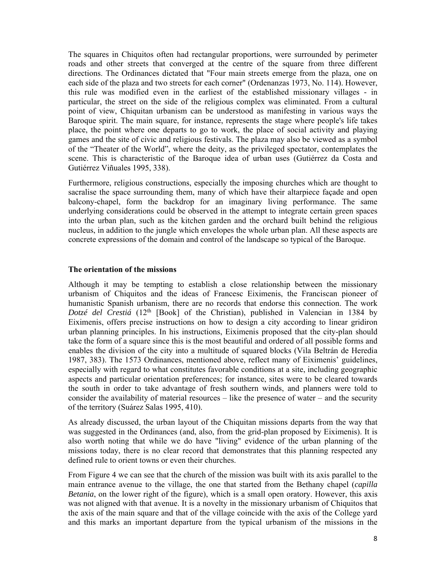The squares in Chiquitos often had rectangular proportions, were surrounded by perimeter roads and other streets that converged at the centre of the square from three different directions. The Ordinances dictated that "Four main streets emerge from the plaza, one on each side of the plaza and two streets for each corner" (Ordenanzas 1973, No. 114). However, this rule was modified even in the earliest of the established missionary villages - in particular, the street on the side of the religious complex was eliminated. From a cultural point of view, Chiquitan urbanism can be understood as manifesting in various ways the Baroque spirit. The main square, for instance, represents the stage where people's life takes place, the point where one departs to go to work, the place of social activity and playing games and the site of civic and religious festivals. The plaza may also be viewed as a symbol of the "Theater of the World", where the deity, as the privileged spectator, contemplates the scene. This is characteristic of the Baroque idea of urban uses (Gutiérrez da Costa and Gutiérrez Viñuales 1995, 338).

Furthermore, religious constructions, especially the imposing churches which are thought to sacralise the space surrounding them, many of which have their altarpiece façade and open balcony-chapel, form the backdrop for an imaginary living performance. The same underlying considerations could be observed in the attempt to integrate certain green spaces into the urban plan, such as the kitchen garden and the orchard built behind the religious nucleus, in addition to the jungle which envelopes the whole urban plan. All these aspects are concrete expressions of the domain and control of the landscape so typical of the Baroque.

#### **The orientation of the missions**

Although it may be tempting to establish a close relationship between the missionary urbanism of Chiquitos and the ideas of Francesc Eiximenis, the Franciscan pioneer of humanistic Spanish urbanism, there are no records that endorse this connection. The work *Dotzé del Crestiá* (12<sup>th</sup> [Book] of the Christian), published in Valencian in 1384 by Eiximenis, offers precise instructions on how to design a city according to linear gridiron urban planning principles. In his instructions, Eiximenis proposed that the city-plan should take the form of a square since this is the most beautiful and ordered of all possible forms and enables the division of the city into a multitude of squared blocks (Vila Beltrán de Heredia 1987, 383). The 1573 Ordinances, mentioned above, reflect many of Eiximenis' guidelines, especially with regard to what constitutes favorable conditions at a site, including geographic aspects and particular orientation preferences; for instance, sites were to be cleared towards the south in order to take advantage of fresh southern winds, and planners were told to consider the availability of material resources – like the presence of water – and the security of the territory (Suárez Salas 1995, 410).

As already discussed, the urban layout of the Chiquitan missions departs from the way that was suggested in the Ordinances (and, also, from the grid-plan proposed by Eiximenis). It is also worth noting that while we do have "living" evidence of the urban planning of the missions today, there is no clear record that demonstrates that this planning respected any defined rule to orient towns or even their churches.

From Figure 4 we can see that the church of the mission was built with its axis parallel to the main entrance avenue to the village, the one that started from the Bethany chapel (*capilla Betania*, on the lower right of the figure), which is a small open oratory. However, this axis was not aligned with that avenue. It is a novelty in the missionary urbanism of Chiquitos that the axis of the main square and that of the village coincide with the axis of the College yard and this marks an important departure from the typical urbanism of the missions in the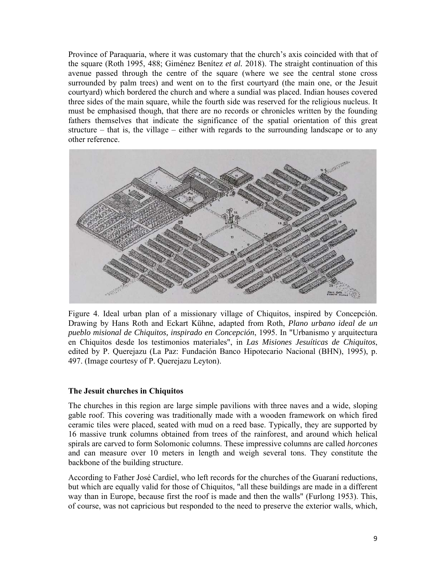Province of Paraquaria, where it was customary that the church's axis coincided with that of the square (Roth 1995, 488; Giménez Benítez *et al.* 2018). The straight continuation of this avenue passed through the centre of the square (where we see the central stone cross surrounded by palm trees) and went on to the first courtyard (the main one, or the Jesuit courtyard) which bordered the church and where a sundial was placed. Indian houses covered three sides of the main square, while the fourth side was reserved for the religious nucleus. It must be emphasised though, that there are no records or chronicles written by the founding fathers themselves that indicate the significance of the spatial orientation of this great structure – that is, the village – either with regards to the surrounding landscape or to any other reference.



Figure 4. Ideal urban plan of a missionary village of Chiquitos, inspired by Concepción. Drawing by Hans Roth and Eckart Kühne, adapted from Roth, *Plano urbano ideal de un pueblo misional de Chiquitos, inspirado en Concepción*, 1995. In "Urbanismo y arquitectura en Chiquitos desde los testimonios materiales", in *Las Misiones Jesuíticas de Chiquitos*, edited by P. Querejazu (La Paz: Fundación Banco Hipotecario Nacional (BHN), 1995), p. 497. (Image courtesy of P. Querejazu Leyton).

# **The Jesuit churches in Chiquitos**

The churches in this region are large simple pavilions with three naves and a wide, sloping gable roof. This covering was traditionally made with a wooden framework on which fired ceramic tiles were placed, seated with mud on a reed base. Typically, they are supported by 16 massive trunk columns obtained from trees of the rainforest, and around which helical spirals are carved to form Solomonic columns. These impressive columns are called *horcones* and can measure over 10 meters in length and weigh several tons. They constitute the backbone of the building structure.

According to Father José Cardiel, who left records for the churches of the Guaraní reductions, but which are equally valid for those of Chiquitos, "all these buildings are made in a different way than in Europe, because first the roof is made and then the walls" (Furlong 1953). This, of course, was not capricious but responded to the need to preserve the exterior walls, which,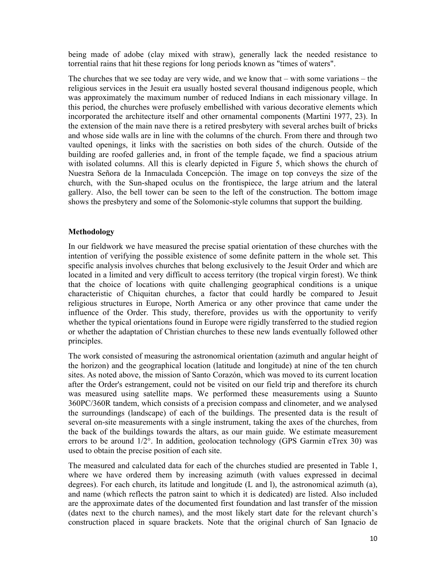being made of adobe (clay mixed with straw), generally lack the needed resistance to torrential rains that hit these regions for long periods known as "times of waters".

The churches that we see today are very wide, and we know that – with some variations – the religious services in the Jesuit era usually hosted several thousand indigenous people, which was approximately the maximum number of reduced Indians in each missionary village. In this period, the churches were profusely embellished with various decorative elements which incorporated the architecture itself and other ornamental components (Martini 1977, 23). In the extension of the main nave there is a retired presbytery with several arches built of bricks and whose side walls are in line with the columns of the church. From there and through two vaulted openings, it links with the sacristies on both sides of the church. Outside of the building are roofed galleries and, in front of the temple façade, we find a spacious atrium with isolated columns. All this is clearly depicted in Figure 5, which shows the church of Nuestra Señora de la Inmaculada Concepción. The image on top conveys the size of the church, with the Sun-shaped oculus on the frontispiece, the large atrium and the lateral gallery. Also, the bell tower can be seen to the left of the construction. The bottom image shows the presbytery and some of the Solomonic-style columns that support the building.

### **Methodology**

In our fieldwork we have measured the precise spatial orientation of these churches with the intention of verifying the possible existence of some definite pattern in the whole set. This specific analysis involves churches that belong exclusively to the Jesuit Order and which are located in a limited and very difficult to access territory (the tropical virgin forest). We think that the choice of locations with quite challenging geographical conditions is a unique characteristic of Chiquitan churches, a factor that could hardly be compared to Jesuit religious structures in Europe, North America or any other province that came under the influence of the Order. This study, therefore, provides us with the opportunity to verify whether the typical orientations found in Europe were rigidly transferred to the studied region or whether the adaptation of Christian churches to these new lands eventually followed other principles.

The work consisted of measuring the astronomical orientation (azimuth and angular height of the horizon) and the geographical location (latitude and longitude) at nine of the ten church sites. As noted above, the mission of Santo Corazón, which was moved to its current location after the Order's estrangement, could not be visited on our field trip and therefore its church was measured using satellite maps. We performed these measurements using a Suunto 360PC/360R tandem, which consists of a precision compass and clinometer, and we analysed the surroundings (landscape) of each of the buildings. The presented data is the result of several on-site measurements with a single instrument, taking the axes of the churches, from the back of the buildings towards the altars, as our main guide. We estimate measurement errors to be around 1/2°. In addition, geolocation technology (GPS Garmin eTrex 30) was used to obtain the precise position of each site.

The measured and calculated data for each of the churches studied are presented in Table 1, where we have ordered them by increasing azimuth (with values expressed in decimal degrees). For each church, its latitude and longitude (L and l), the astronomical azimuth (a), and name (which reflects the patron saint to which it is dedicated) are listed. Also included are the approximate dates of the documented first foundation and last transfer of the mission (dates next to the church names), and the most likely start date for the relevant church's construction placed in square brackets. Note that the original church of San Ignacio de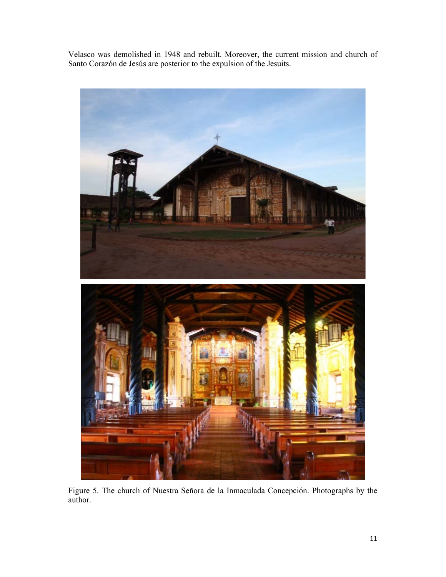Velasco was demolished in 1948 and rebuilt. Moreover, the current mission and church of Santo Corazón de Jesús are posterior to the expulsion of the Jesuits.



Figure 5. The church of Nuestra Señora de la Inmaculada Concepción. Photographs by the author.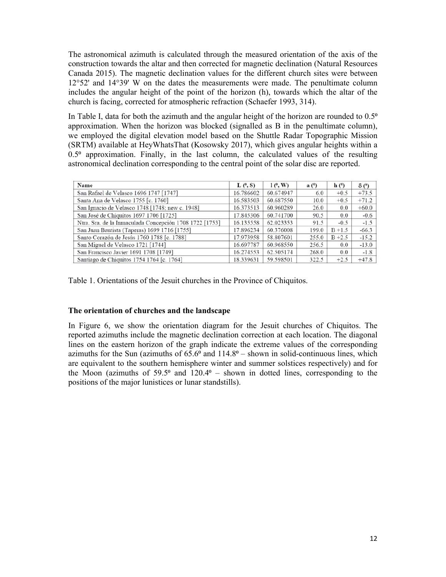The astronomical azimuth is calculated through the measured orientation of the axis of the construction towards the altar and then corrected for magnetic declination (Natural Resources Canada 2015). The magnetic declination values for the different church sites were between 12°52' and 14°39' W on the dates the measurements were made. The penultimate column includes the angular height of the point of the horizon (h), towards which the altar of the church is facing, corrected for atmospheric refraction (Schaefer 1993, 314).

In Table I, data for both the azimuth and the angular height of the horizon are rounded to  $0.5^{\circ}$ approximation. When the horizon was blocked (signalled as B in the penultimate column), we employed the digital elevation model based on the Shuttle Radar Topographic Mission (SRTM) available at HeyWhatsThat (Kosowsky 2017), which gives angular heights within a  $0.5<sup>°</sup>$  approximation. Finally, in the last column, the calculated values of the resulting astronomical declination corresponding to the central point of the solar disc are reported.

| Name                                                    | $L(^{\circ}, S)$ | $1(^\circ, W)$ | a <sup>0</sup> | h(°)      | $\delta$ ( $\Omega$ ) |
|---------------------------------------------------------|------------------|----------------|----------------|-----------|-----------------------|
| San Rafael de Velasco 1696 1747 [1747]                  | 16.786602        | 60.674947      | 6.0            | $+0.5$    | $+73.5$               |
| Santa Ana de Velasco 1755 [c. 1760]                     | 16.583503        | 60.687550      | 10.0           | $+0.5$    | $+71.2$               |
| San Ignacio de Velasco 1748 [1748; new c. 1948]         | 16.373513        | 60.960289      | 26.0           | 0.0       | $+60.0$               |
| San José de Chiquitos 1697 1706 [1725]                  | 17.845306        | 60.741700      | 90.5           | 0.0       | $-0.6$                |
| Ntra. Sra. de la Inmaculada Concepción 1708 1722 [1753] | 16.135558        | 62.023353      | 91.5           | $-0.5$    | $-1.5$                |
| San Juan Bautista (Taperas) 1699 1716 [1755]            | 17.896234        | 60.376008      | 199.0          | $B + 1.5$ | $-66.3$               |
| Santo Corazón de Jesús 1760 1788 [c. 1788]              | 17.973958        | 58.807601      | 255.0          | $B + 2.5$ | $-15.2$               |
| San Miguel de Velasco 1721 [1744]                       | 16.697787        | 60.968550      | 256.5          | 0.0       | $-13.0$               |
| San Francisco Javier 1691 1708 [1749]                   | 16.274553        | 62.505174      | 268.0          | 0.0       | $-1.8$                |
| Santiago de Chiquitos 1754 1764 [c. 1764]               | 18.339631        | 59.598501      | 322.5          | $+2.5$    | $+47.8$               |

Table 1. Orientations of the Jesuit churches in the Province of Chiquitos.

# **The orientation of churches and the landscape**

In Figure 6, we show the orientation diagram for the Jesuit churches of Chiquitos. The reported azimuths include the magnetic declination correction at each location. The diagonal lines on the eastern horizon of the graph indicate the extreme values of the corresponding azimuths for the Sun (azimuths of  $65.6<sup>o</sup>$  and  $114.8<sup>o</sup>$  – shown in solid-continuous lines, which are equivalent to the southern hemisphere winter and summer solstices respectively) and for the Moon (azimuths of  $59.5^{\circ}$  and  $120.4^{\circ}$  – shown in dotted lines, corresponding to the positions of the major lunistices or lunar standstills).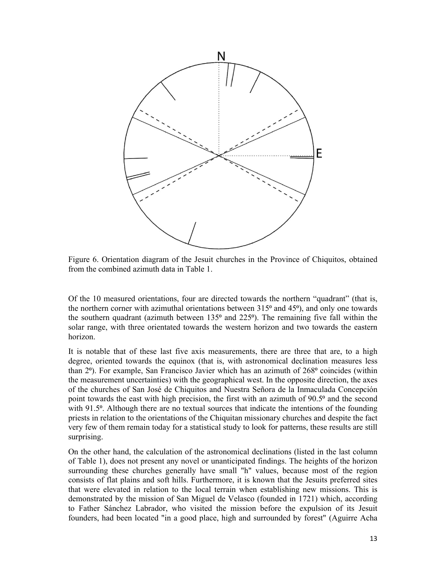

Figure 6. Orientation diagram of the Jesuit churches in the Province of Chiquitos, obtained from the combined azimuth data in Table 1.

Of the 10 measured orientations, four are directed towards the northern "quadrant" (that is, the northern corner with azimuthal orientations between  $315^{\circ}$  and  $45^{\circ}$ ), and only one towards the southern quadrant (azimuth between  $135^{\circ}$  and  $225^{\circ}$ ). The remaining five fall within the solar range, with three orientated towards the western horizon and two towards the eastern horizon.

It is notable that of these last five axis measurements, there are three that are, to a high degree, oriented towards the equinox (that is, with astronomical declination measures less than  $2<sup>o</sup>$ ). For example, San Francisco Javier which has an azimuth of  $268<sup>o</sup>$  coincides (within the measurement uncertainties) with the geographical west. In the opposite direction, the axes of the churches of San José de Chiquitos and Nuestra Señora de la Inmaculada Concepción point towards the east with high precision, the first with an azimuth of 90.5<sup>°</sup> and the second with 91.5<sup>o</sup>. Although there are no textual sources that indicate the intentions of the founding priests in relation to the orientations of the Chiquitan missionary churches and despite the fact very few of them remain today for a statistical study to look for patterns, these results are still surprising.

On the other hand, the calculation of the astronomical declinations (listed in the last column of Table 1), does not present any novel or unanticipated findings. The heights of the horizon surrounding these churches generally have small "h" values, because most of the region consists of flat plains and soft hills. Furthermore, it is known that the Jesuits preferred sites that were elevated in relation to the local terrain when establishing new missions. This is demonstrated by the mission of San Miguel de Velasco (founded in 1721) which, according to Father Sánchez Labrador, who visited the mission before the expulsion of its Jesuit founders, had been located "in a good place, high and surrounded by forest" (Aguirre Acha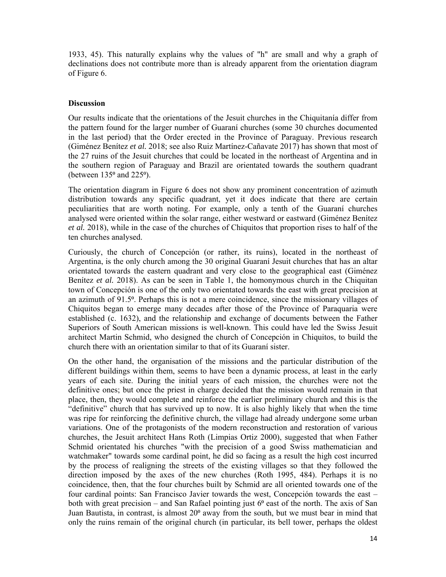1933, 45). This naturally explains why the values of "h" are small and why a graph of declinations does not contribute more than is already apparent from the orientation diagram of Figure 6.

## **Discussion**

Our results indicate that the orientations of the Jesuit churches in the Chiquitanía differ from the pattern found for the larger number of Guaraní churches (some 30 churches documented in the last period) that the Order erected in the Province of Paraguay. Previous research (Giménez Benítez *et al.* 2018; see also Ruiz Martínez-Cañavate 2017) has shown that most of the 27 ruins of the Jesuit churches that could be located in the northeast of Argentina and in the southern region of Paraguay and Brazil are orientated towards the southern quadrant (between  $135^{\circ}$  and  $225^{\circ}$ ).

The orientation diagram in Figure 6 does not show any prominent concentration of azimuth distribution towards any specific quadrant, yet it does indicate that there are certain peculiarities that are worth noting. For example, only a tenth of the Guaraní churches analysed were oriented within the solar range, either westward or eastward (Giménez Benítez *et al.* 2018), while in the case of the churches of Chiquitos that proportion rises to half of the ten churches analysed.

Curiously, the church of Concepción (or rather, its ruins), located in the northeast of Argentina, is the only church among the 30 original Guaraní Jesuit churches that has an altar orientated towards the eastern quadrant and very close to the geographical east (Giménez Benítez *et al.* 2018). As can be seen in Table 1, the homonymous church in the Chiquitan town of Concepción is one of the only two orientated towards the east with great precision at an azimuth of 91.5<sup>o</sup>. Perhaps this is not a mere coincidence, since the missionary villages of Chiquitos began to emerge many decades after those of the Province of Paraquaria were established (c. 1632), and the relationship and exchange of documents between the Father Superiors of South American missions is well-known. This could have led the Swiss Jesuit architect Martin Schmid, who designed the church of Concepción in Chiquitos, to build the church there with an orientation similar to that of its Guaraní sister.

On the other hand, the organisation of the missions and the particular distribution of the different buildings within them, seems to have been a dynamic process, at least in the early years of each site. During the initial years of each mission, the churches were not the definitive ones; but once the priest in charge decided that the mission would remain in that place, then, they would complete and reinforce the earlier preliminary church and this is the "definitive" church that has survived up to now. It is also highly likely that when the time was ripe for reinforcing the definitive church, the village had already undergone some urban variations. One of the protagonists of the modern reconstruction and restoration of various churches, the Jesuit architect Hans Roth (Limpias Ortiz 2000), suggested that when Father Schmid orientated his churches "with the precision of a good Swiss mathematician and watchmaker" towards some cardinal point, he did so facing as a result the high cost incurred by the process of realigning the streets of the existing villages so that they followed the direction imposed by the axes of the new churches (Roth 1995, 484). Perhaps it is no coincidence, then, that the four churches built by Schmid are all oriented towards one of the four cardinal points: San Francisco Javier towards the west, Concepción towards the east – both with great precision – and San Rafael pointing just  $6<sup>o</sup>$  east of the north. The axis of San Juan Bautista, in contrast, is almost 20<sup>°</sup> away from the south, but we must bear in mind that only the ruins remain of the original church (in particular, its bell tower, perhaps the oldest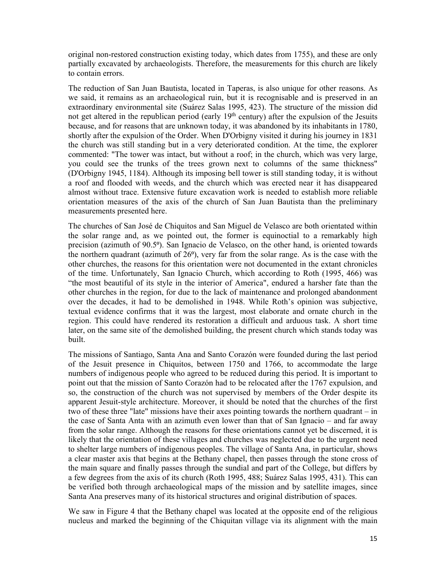original non-restored construction existing today, which dates from 1755), and these are only partially excavated by archaeologists. Therefore, the measurements for this church are likely to contain errors.

The reduction of San Juan Bautista, located in Taperas, is also unique for other reasons. As we said, it remains as an archaeological ruin, but it is recognisable and is preserved in an extraordinary environmental site (Suárez Salas 1995, 423). The structure of the mission did not get altered in the republican period (early  $19<sup>th</sup>$  century) after the expulsion of the Jesuits because, and for reasons that are unknown today, it was abandoned by its inhabitants in 1780, shortly after the expulsion of the Order. When D'Orbigny visited it during his journey in 1831 the church was still standing but in a very deteriorated condition. At the time, the explorer commented: "The tower was intact, but without a roof; in the church, which was very large, you could see the trunks of the trees grown next to columns of the same thickness" (D'Orbigny 1945, 1184). Although its imposing bell tower is still standing today, it is without a roof and flooded with weeds, and the church which was erected near it has disappeared almost without trace. Extensive future excavation work is needed to establish more reliable orientation measures of the axis of the church of San Juan Bautista than the preliminary measurements presented here.

The churches of San José de Chiquitos and San Miguel de Velasco are both orientated within the solar range and, as we pointed out, the former is equinoctial to a remarkably high precision (azimuth of 90.5°). San Ignacio de Velasco, on the other hand, is oriented towards the northern quadrant (azimuth of  $26^\circ$ ), very far from the solar range. As is the case with the other churches, the reasons for this orientation were not documented in the extant chronicles of the time. Unfortunately, San Ignacio Church, which according to Roth (1995, 466) was "the most beautiful of its style in the interior of America", endured a harsher fate than the other churches in the region, for due to the lack of maintenance and prolonged abandonment over the decades, it had to be demolished in 1948. While Roth's opinion was subjective, textual evidence confirms that it was the largest, most elaborate and ornate church in the region. This could have rendered its restoration a difficult and arduous task. A short time later, on the same site of the demolished building, the present church which stands today was built.

The missions of Santiago, Santa Ana and Santo Corazón were founded during the last period of the Jesuit presence in Chiquitos, between 1750 and 1766, to accommodate the large numbers of indigenous people who agreed to be reduced during this period. It is important to point out that the mission of Santo Corazón had to be relocated after the 1767 expulsion, and so, the construction of the church was not supervised by members of the Order despite its apparent Jesuit-style architecture. Moreover, it should be noted that the churches of the first two of these three "late" missions have their axes pointing towards the northern quadrant – in the case of Santa Anta with an azimuth even lower than that of San Ignacio – and far away from the solar range. Although the reasons for these orientations cannot yet be discerned, it is likely that the orientation of these villages and churches was neglected due to the urgent need to shelter large numbers of indigenous peoples. The village of Santa Ana, in particular, shows a clear master axis that begins at the Bethany chapel, then passes through the stone cross of the main square and finally passes through the sundial and part of the College, but differs by a few degrees from the axis of its church (Roth 1995, 488; Suárez Salas 1995, 431). This can be verified both through archaeological maps of the mission and by satellite images, since Santa Ana preserves many of its historical structures and original distribution of spaces.

We saw in Figure 4 that the Bethany chapel was located at the opposite end of the religious nucleus and marked the beginning of the Chiquitan village via its alignment with the main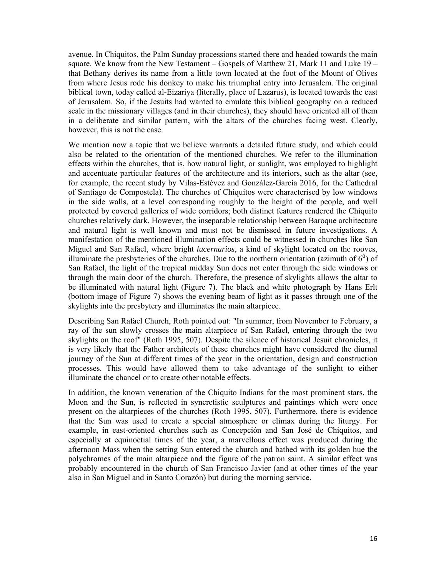avenue. In Chiquitos, the Palm Sunday processions started there and headed towards the main square. We know from the New Testament – Gospels of Matthew 21, Mark 11 and Luke  $19$ that Bethany derives its name from a little town located at the foot of the Mount of Olives from where Jesus rode his donkey to make his triumphal entry into Jerusalem. The original biblical town, today called al-Eizariya (literally, place of Lazarus), is located towards the east of Jerusalem. So, if the Jesuits had wanted to emulate this biblical geography on a reduced scale in the missionary villages (and in their churches), they should have oriented all of them in a deliberate and similar pattern, with the altars of the churches facing west. Clearly, however, this is not the case.

We mention now a topic that we believe warrants a detailed future study, and which could also be related to the orientation of the mentioned churches. We refer to the illumination effects within the churches, that is, how natural light, or sunlight, was employed to highlight and accentuate particular features of the architecture and its interiors, such as the altar (see, for example, the recent study by Vilas-Estévez and González-García 2016, for the Cathedral of Santiago de Compostela). The churches of Chiquitos were characterised by low windows in the side walls, at a level corresponding roughly to the height of the people, and well protected by covered galleries of wide corridors; both distinct features rendered the Chiquito churches relatively dark. However, the inseparable relationship between Baroque architecture and natural light is well known and must not be dismissed in future investigations. A manifestation of the mentioned illumination effects could be witnessed in churches like San Miguel and San Rafael, where bright *lucernarios*, a kind of skylight located on the rooves, illuminate the presbyteries of the churches. Due to the northern orientation (azimuth of  $6<sup>0</sup>$ ) of San Rafael, the light of the tropical midday Sun does not enter through the side windows or through the main door of the church. Therefore, the presence of skylights allows the altar to be illuminated with natural light (Figure 7). The black and white photograph by Hans Erlt (bottom image of Figure 7) shows the evening beam of light as it passes through one of the skylights into the presbytery and illuminates the main altarpiece.

Describing San Rafael Church, Roth pointed out: "In summer, from November to February, a ray of the sun slowly crosses the main altarpiece of San Rafael, entering through the two skylights on the roof" (Roth 1995, 507). Despite the silence of historical Jesuit chronicles, it is very likely that the Father architects of these churches might have considered the diurnal journey of the Sun at different times of the year in the orientation, design and construction processes. This would have allowed them to take advantage of the sunlight to either illuminate the chancel or to create other notable effects.

In addition, the known veneration of the Chiquito Indians for the most prominent stars, the Moon and the Sun, is reflected in syncretistic sculptures and paintings which were once present on the altarpieces of the churches (Roth 1995, 507). Furthermore, there is evidence that the Sun was used to create a special atmosphere or climax during the liturgy. For example, in east-oriented churches such as Concepción and San José de Chiquitos, and especially at equinoctial times of the year, a marvellous effect was produced during the afternoon Mass when the setting Sun entered the church and bathed with its golden hue the polychromes of the main altarpiece and the figure of the patron saint. A similar effect was probably encountered in the church of San Francisco Javier (and at other times of the year also in San Miguel and in Santo Corazón) but during the morning service.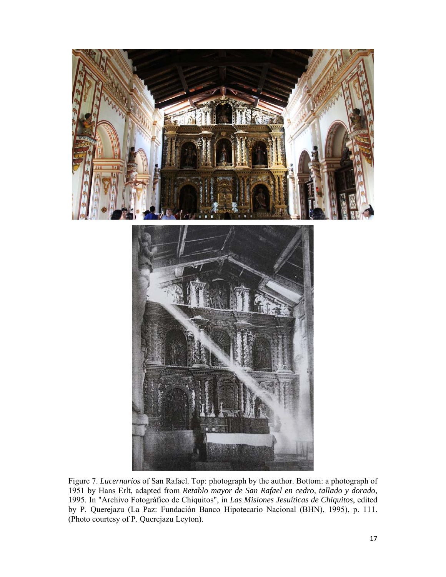



Figure 7. *Lucernarios* of San Rafael. Top: photograph by the author. Bottom: a photograph of 1951 by Hans Erlt, adapted from *Retablo mayor de San Rafael en cedro, tallado y dorado,*  1995. In "Archivo Fotográfico de Chiquitos", in *Las Misiones Jesuíticas de Chiquitos*, edited by P. Querejazu (La Paz: Fundación Banco Hipotecario Nacional (BHN), 1995), p. 111. (Photo courtesy of P. Querejazu Leyton).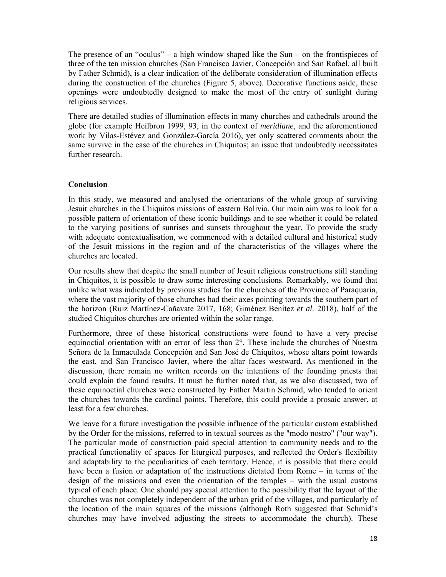The presence of an "oculus" – a high window shaped like the Sun – on the frontispieces of three of the ten mission churches (San Francisco Javier, Concepción and San Rafael, all built by Father Schmid), is a clear indication of the deliberate consideration of illumination effects during the construction of the churches (Figure 5, above). Decorative functions aside, these openings were undoubtedly designed to make the most of the entry of sunlight during religious services.

There are detailed studies of illumination effects in many churches and cathedrals around the globe (for example Heilbron 1999, 93, in the context of *meridiane*, and the aforementioned work by Vilas-Estévez and González-García 2016), yet only scattered comments about the same survive in the case of the churches in Chiquitos; an issue that undoubtedly necessitates further research.

# **Conclusion**

In this study, we measured and analysed the orientations of the whole group of surviving Jesuit churches in the Chiquitos missions of eastern Bolivia. Our main aim was to look for a possible pattern of orientation of these iconic buildings and to see whether it could be related to the varying positions of sunrises and sunsets throughout the year. To provide the study with adequate contextualisation, we commenced with a detailed cultural and historical study of the Jesuit missions in the region and of the characteristics of the villages where the churches are located.

Our results show that despite the small number of Jesuit religious constructions still standing in Chiquitos, it is possible to draw some interesting conclusions. Remarkably, we found that unlike what was indicated by previous studies for the churches of the Province of Paraquaria, where the vast majority of those churches had their axes pointing towards the southern part of the horizon (Ruiz Martínez-Cañavate 2017, 168; Giménez Benítez *et al.* 2018), half of the studied Chiquitos churches are oriented within the solar range.

Furthermore, three of these historical constructions were found to have a very precise equinoctial orientation with an error of less than 2°. These include the churches of Nuestra Señora de la Inmaculada Concepción and San José de Chiquitos, whose altars point towards the east, and San Francisco Javier, where the altar faces westward. As mentioned in the discussion, there remain no written records on the intentions of the founding priests that could explain the found results. It must be further noted that, as we also discussed, two of these equinoctial churches were constructed by Father Martin Schmid, who tended to orient the churches towards the cardinal points. Therefore, this could provide a prosaic answer, at least for a few churches.

We leave for a future investigation the possible influence of the particular custom established by the Order for the missions, referred to in textual sources as the "modo nostro" ("our way"). The particular mode of construction paid special attention to community needs and to the practical functionality of spaces for liturgical purposes, and reflected the Order's flexibility and adaptability to the peculiarities of each territory. Hence, it is possible that there could have been a fusion or adaptation of the instructions dictated from Rome – in terms of the design of the missions and even the orientation of the temples – with the usual customs typical of each place. One should pay special attention to the possibility that the layout of the churches was not completely independent of the urban grid of the villages, and particularly of the location of the main squares of the missions (although Roth suggested that Schmid's churches may have involved adjusting the streets to accommodate the church). These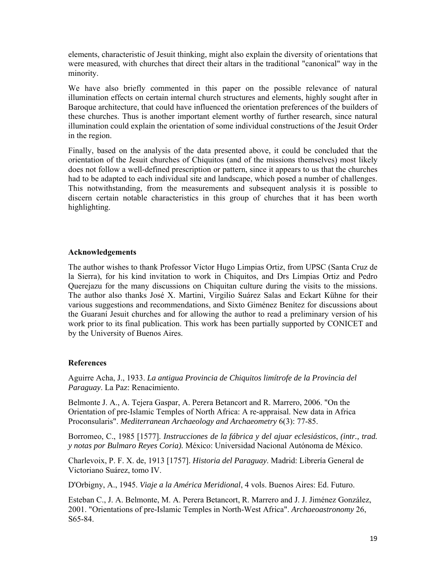elements, characteristic of Jesuit thinking, might also explain the diversity of orientations that were measured, with churches that direct their altars in the traditional "canonical" way in the minority.

We have also briefly commented in this paper on the possible relevance of natural illumination effects on certain internal church structures and elements, highly sought after in Baroque architecture, that could have influenced the orientation preferences of the builders of these churches. Thus is another important element worthy of further research, since natural illumination could explain the orientation of some individual constructions of the Jesuit Order in the region.

Finally, based on the analysis of the data presented above, it could be concluded that the orientation of the Jesuit churches of Chiquitos (and of the missions themselves) most likely does not follow a well-defined prescription or pattern, since it appears to us that the churches had to be adapted to each individual site and landscape, which posed a number of challenges. This notwithstanding, from the measurements and subsequent analysis it is possible to discern certain notable characteristics in this group of churches that it has been worth highlighting.

### **Acknowledgements**

The author wishes to thank Professor Víctor Hugo Limpias Ortiz, from UPSC (Santa Cruz de la Sierra), for his kind invitation to work in Chiquitos, and Drs Limpias Ortiz and Pedro Querejazu for the many discussions on Chiquitan culture during the visits to the missions. The author also thanks José X. Martini, Virgilio Suárez Salas and Eckart Kühne for their various suggestions and recommendations, and Sixto Giménez Benítez for discussions about the Guaraní Jesuit churches and for allowing the author to read a preliminary version of his work prior to its final publication. This work has been partially supported by CONICET and by the University of Buenos Aires.

# **References**

Aguirre Acha, J., 1933. *La antigua Provincia de Chiquitos limítrofe de la Provincia del Paraguay*. La Paz: Renacimiento.

Belmonte J. A., A. Tejera Gaspar, A. Perera Betancort and R. Marrero, 2006. "On the Orientation of pre-Islamic Temples of North Africa: A re-appraisal. New data in Africa Proconsularis". *Mediterranean Archaeology and Archaeometry* 6(3): 77-85.

Borromeo, C., 1985 [1577]. *Instrucciones de la fábrica y del ajuar eclesiásticos*, *(intr., trad. y notas por Bulmaro Reyes Coria).* México: Universidad Nacional Autónoma de México.

Charlevoix, P. F. X. de, 1913 [1757]. *Historia del Paraguay*. Madrid: Librería General de Victoriano Suárez, tomo IV.

D'Orbigny, A., 1945. *Viaje a la América Meridional*, 4 vols. Buenos Aires: Ed. Futuro.

Esteban C., J. A. Belmonte, M. A. Perera Betancort, R. Marrero and J. J. Jiménez González, 2001. "Orientations of pre-Islamic Temples in North-West Africa". *Archaeoastronomy* 26, S65-84.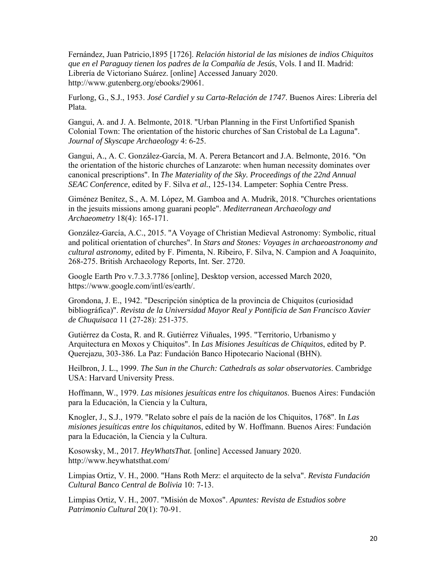Fernández, Juan Patricio,1895 [1726]. *Relación historial de las misiones de indios Chiquitos que en el Paraguay tienen los padres de la Compañía de Jesús*, Vols. I and II. Madrid: Librería de Victoriano Suárez. [online] Accessed January 2020. http://www.gutenberg.org/ebooks/29061.

Furlong, G., S.J., 1953. *José Cardiel y su Carta-Relación de 1747*. Buenos Aires: Librería del Plata.

Gangui, A. and J. A. Belmonte, 2018. "Urban Planning in the First Unfortified Spanish Colonial Town: The orientation of the historic churches of San Cristobal de La Laguna". *Journal of Skyscape Archaeology* 4: 6-25.

Gangui, A., A. C. González-García, M. A. Perera Betancort and J.A. Belmonte, 2016. "On the orientation of the historic churches of Lanzarote: when human necessity dominates over canonical prescriptions". In *The Materiality of the Sky. Proceedings of the 22nd Annual SEAC Conference*, edited by F. Silva *et al.*, 125-134. Lampeter: Sophia Centre Press.

Giménez Benítez, S., A. M. López, M. Gamboa and A. Mudrik, 2018. "Churches orientations in the jesuits missions among guarani people". *Mediterranean Archaeology and Archaeometry* 18(4): 165-171.

González-García, A.C., 2015. "A Voyage of Christian Medieval Astronomy: Symbolic, ritual and political orientation of churches". In *Stars and Stones: Voyages in archaeoastronomy and cultural astronomy,* edited by F. Pimenta, N. Ribeiro, F. Silva, N. Campion and A Joaquinito, 268-275. British Archaeology Reports, Int. Ser. 2720.

Google Earth Pro v.7.3.3.7786 [online], Desktop version, accessed March 2020, https://www.google.com/intl/es/earth/.

Grondona, J. E., 1942. "Descripción sinóptica de la provincia de Chiquitos (curiosidad bibliográfica)". *Revista de la Universidad Mayor Real y Pontificia de San Francisco Xavier de Chuquisaca* 11 (27-28): 251-375.

Gutiérrez da Costa, R. and R. Gutiérrez Viñuales, 1995. "Territorio, Urbanismo y Arquitectura en Moxos y Chiquitos". In *Las Misiones Jesuíticas de Chiquitos*, edited by P. Querejazu, 303-386. La Paz: Fundación Banco Hipotecario Nacional (BHN).

Heilbron, J. L., 1999. *The Sun in the Church: Cathedrals as solar observatories*. Cambridge USA: Harvard University Press.

Hoffmann, W., 1979. *Las misiones jesuíticas entre los chiquitanos*. Buenos Aires: Fundación para la Educación, la Ciencia y la Cultura,

Knogler, J., S.J., 1979. "Relato sobre el país de la nación de los Chiquitos, 1768". In *Las misiones jesuíticas entre los chiquitanos*, edited by W. Hoffmann. Buenos Aires: Fundación para la Educación, la Ciencia y la Cultura.

Kosowsky, M., 2017. *HeyWhatsThat.* [online] Accessed January 2020. http://www.heywhatsthat.com/

Limpias Ortiz, V. H., 2000. "Hans Roth Merz: el arquitecto de la selva". *Revista Fundación Cultural Banco Central de Bolivia* 10: 7-13.

Limpias Ortiz, V. H., 2007. "Misión de Moxos". *Apuntes: Revista de Estudios sobre Patrimonio Cultural* 20(1): 70-91.